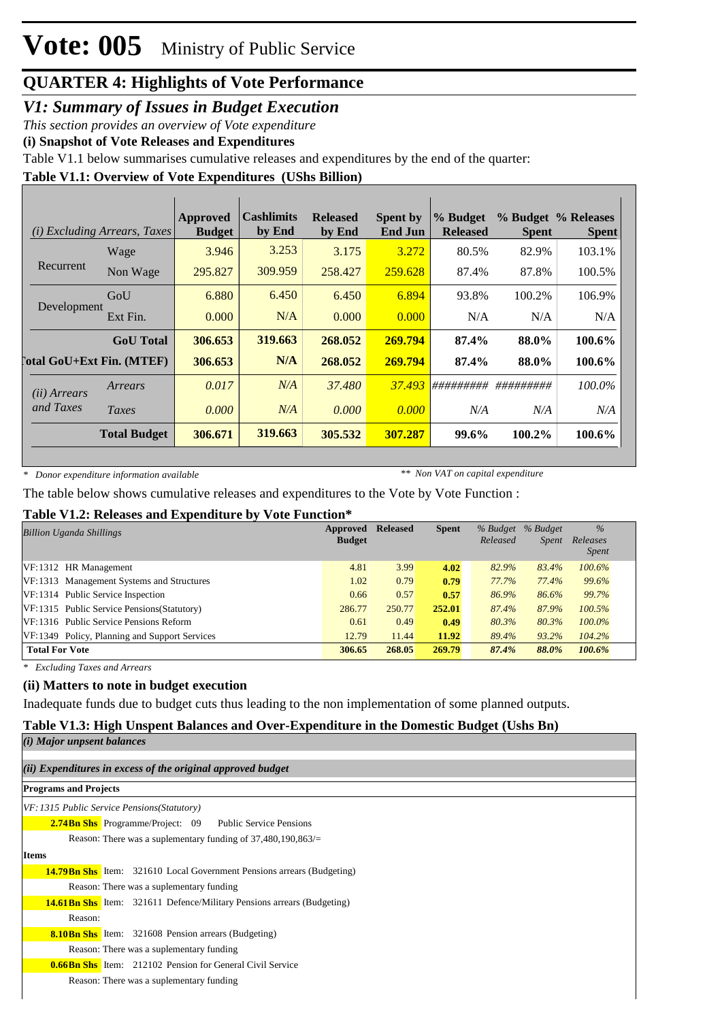### *V1: Summary of Issues in Budget Execution*

*This section provides an overview of Vote expenditure*

**(i) Snapshot of Vote Releases and Expenditures**

Table V1.1 below summarises cumulative releases and expenditures by the end of the quarter:

### **Table V1.1: Overview of Vote Expenditures (UShs Billion)**

| (i)                              | <i>Excluding Arrears, Taxes</i> | Approved<br><b>Budget</b> | <b>Cashlimits</b><br>by End | <b>Released</b><br>by End | <b>Spent by</b><br><b>End Jun</b> | % Budget<br><b>Released</b> | <b>Spent</b> | % Budget % Releases<br><b>Spent</b> |
|----------------------------------|---------------------------------|---------------------------|-----------------------------|---------------------------|-----------------------------------|-----------------------------|--------------|-------------------------------------|
|                                  | Wage                            | 3.946                     | 3.253                       | 3.175                     | 3.272                             | 80.5%                       | 82.9%        | 103.1%                              |
| Recurrent                        | Non Wage                        | 295.827                   | 309.959                     | 258.427                   | 259.628                           | 87.4%                       | 87.8%        | 100.5%                              |
|                                  | GoU                             | 6.880                     | 6.450                       | 6.450                     | 6.894                             | 93.8%                       | 100.2%       | 106.9%                              |
| Development                      | Ext Fin.                        | 0.000                     | N/A                         | 0.000                     | 0.000                             | N/A                         | N/A          | N/A                                 |
|                                  | <b>GoU</b> Total                | 306.653                   | 319.663                     | 268.052                   | 269.794                           | 87.4%                       | 88.0%        | 100.6%                              |
| <b>Total GoU+Ext Fin. (MTEF)</b> |                                 | 306.653                   | N/A                         | 268.052                   | 269.794                           | 87.4%                       | 88.0%        | 100.6%                              |
| ( <i>ii</i> ) Arrears            | Arrears                         | 0.017                     | N/A                         | 37.480                    | 37.493                            | #########                   | #########    | 100.0%                              |
| and Taxes                        | Taxes                           | 0.000                     | N/A                         | 0.000                     | 0.000                             | N/A                         | N/A          | N/A                                 |
|                                  | <b>Total Budget</b>             | 306.671                   | 319.663                     | 305.532                   | 307.287                           | 99.6%                       | $100.2\%$    | 100.6%                              |

*\* Donor expenditure information available*

*\*\* Non VAT on capital expenditure*

The table below shows cumulative releases and expenditures to the Vote by Vote Function :

### **Table V1.2: Releases and Expenditure by Vote Function\***

| <b>Billion Uganda Shillings</b>               | Approved<br><b>Budget</b> | <b>Released</b> | <b>Spent</b> | Released | % Budget % Budget<br><i>Spent</i> | $\%$<br>Releases<br><i>Spent</i> |  |
|-----------------------------------------------|---------------------------|-----------------|--------------|----------|-----------------------------------|----------------------------------|--|
| $VF:1312$ HR Management                       | 4.81                      | 3.99            | 4.02         | 82.9%    | 83.4%                             | 100.6%                           |  |
| VF:1313 Management Systems and Structures     | 1.02                      | 0.79            | 0.79         | 77.7%    | 77.4%                             | 99.6%                            |  |
| VF:1314 Public Service Inspection             | 0.66                      | 0.57            | 0.57         | 86.9%    | 86.6%                             | 99.7%                            |  |
| VF:1315 Public Service Pensions (Statutory)   | 286.77                    | 250.77          | 252.01       | 87.4%    | 87.9%                             | 100.5%                           |  |
| VF:1316 Public Service Pensions Reform        | 0.61                      | 0.49            | 0.49         | 80.3%    | 80.3%                             | $100.0\%$                        |  |
| VF:1349 Policy, Planning and Support Services | 12.79                     | 11.44           | 11.92        | 89.4%    | 93.2%                             | 104.2%                           |  |
| <b>Total For Vote</b>                         | 306.65                    | 268.05          | 269.79       | 87.4%    | 88.0%                             | 100.6%                           |  |

*\* Excluding Taxes and Arrears*

### **(ii) Matters to note in budget execution**

Inadequate funds due to budget cuts thus leading to the non implementation of some planned outputs.

### **Table V1.3: High Unspent Balances and Over-Expenditure in the Domestic Budget (Ushs Bn)**

| (i) Major unpsent balances                                                     |
|--------------------------------------------------------------------------------|
|                                                                                |
| (ii) Expenditures in excess of the original approved budget                    |
| <b>Programs and Projects</b>                                                   |
| VF: 1315 Public Service Pensions (Statutory)                                   |
| <b>2.74Bn Shs</b> Programme/Project: 09 Public Service Pensions                |
| Reason: There was a suplementary funding of $37,480,190,863/=$                 |
| <b>Items</b>                                                                   |
| <b>14.79 Bn Shs</b> Item: 321610 Local Government Pensions arrears (Budgeting) |
| Reason: There was a suplementary funding                                       |
| <b>14.61 Bn Shs</b> Item: 321611 Defence/Military Pensions arrears (Budgeting) |
| Reason:                                                                        |
| <b>8.10Bn Shs</b> Item: 321608 Pension arrears (Budgeting)                     |
| Reason: There was a suplementary funding                                       |
| <b>0.66Bn Shs</b> Item: 212102 Pension for General Civil Service               |
| Reason: There was a suplementary funding                                       |
|                                                                                |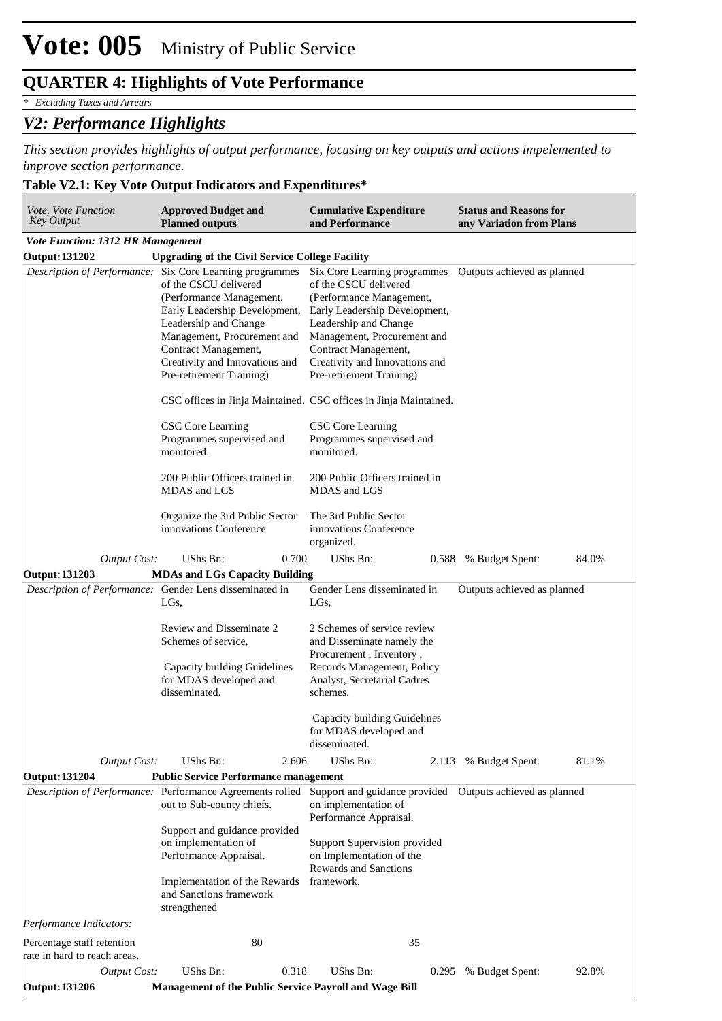*\* Excluding Taxes and Arrears*

### *V2: Performance Highlights*

*This section provides highlights of output performance, focusing on key outputs and actions impelemented to improve section performance.*

### **Table V2.1: Key Vote Output Indicators and Expenditures\***

| Vote, Vote Function<br><b>Approved Budget and</b><br>Key Output<br><b>Planned outputs</b> |                                                                                                                                                                                                                                                                                              | <b>Cumulative Expenditure</b><br>and Performance                                                                                                                                                                                                                 | <b>Status and Reasons for</b><br>any Variation from Plans |  |  |  |
|-------------------------------------------------------------------------------------------|----------------------------------------------------------------------------------------------------------------------------------------------------------------------------------------------------------------------------------------------------------------------------------------------|------------------------------------------------------------------------------------------------------------------------------------------------------------------------------------------------------------------------------------------------------------------|-----------------------------------------------------------|--|--|--|
| <b>Vote Function: 1312 HR Management</b>                                                  |                                                                                                                                                                                                                                                                                              |                                                                                                                                                                                                                                                                  |                                                           |  |  |  |
| <b>Output: 131202</b>                                                                     | <b>Upgrading of the Civil Service College Facility</b>                                                                                                                                                                                                                                       |                                                                                                                                                                                                                                                                  |                                                           |  |  |  |
|                                                                                           | Description of Performance: Six Core Learning programmes<br>of the CSCU delivered<br>(Performance Management,<br>Early Leadership Development,<br>Leadership and Change<br>Management, Procurement and<br>Contract Management,<br>Creativity and Innovations and<br>Pre-retirement Training) | Six Core Learning programmes<br>of the CSCU delivered<br>(Performance Management,<br>Early Leadership Development,<br>Leadership and Change<br>Management, Procurement and<br>Contract Management,<br>Creativity and Innovations and<br>Pre-retirement Training) | Outputs achieved as planned                               |  |  |  |
|                                                                                           |                                                                                                                                                                                                                                                                                              | CSC offices in Jinja Maintained. CSC offices in Jinja Maintained.                                                                                                                                                                                                |                                                           |  |  |  |
|                                                                                           | CSC Core Learning<br>Programmes supervised and<br>monitored.                                                                                                                                                                                                                                 | CSC Core Learning<br>Programmes supervised and<br>monitored.                                                                                                                                                                                                     |                                                           |  |  |  |
|                                                                                           | 200 Public Officers trained in<br>MDAS and LGS                                                                                                                                                                                                                                               | 200 Public Officers trained in<br>MDAS and LGS                                                                                                                                                                                                                   |                                                           |  |  |  |
|                                                                                           | Organize the 3rd Public Sector<br>innovations Conference                                                                                                                                                                                                                                     | The 3rd Public Sector<br>innovations Conference<br>organized.                                                                                                                                                                                                    |                                                           |  |  |  |
| <b>Output Cost:</b>                                                                       | UShs Bn:<br>0.700                                                                                                                                                                                                                                                                            | UShs Bn:<br>0.588                                                                                                                                                                                                                                                | 84.0%<br>% Budget Spent:                                  |  |  |  |
| <b>Output: 131203</b>                                                                     | <b>MDAs and LGs Capacity Building</b>                                                                                                                                                                                                                                                        |                                                                                                                                                                                                                                                                  |                                                           |  |  |  |
|                                                                                           | Description of Performance: Gender Lens disseminated in<br>LGs,                                                                                                                                                                                                                              | Gender Lens disseminated in<br>LGs,                                                                                                                                                                                                                              | Outputs achieved as planned                               |  |  |  |
|                                                                                           | Review and Disseminate 2<br>Schemes of service,<br>Capacity building Guidelines<br>for MDAS developed and<br>disseminated.                                                                                                                                                                   | 2 Schemes of service review<br>and Disseminate namely the<br>Procurement, Inventory,<br>Records Management, Policy<br>Analyst, Secretarial Cadres<br>schemes.                                                                                                    |                                                           |  |  |  |
|                                                                                           |                                                                                                                                                                                                                                                                                              | Capacity building Guidelines<br>for MDAS developed and<br>disseminated.                                                                                                                                                                                          |                                                           |  |  |  |
| <b>Output Cost:</b>                                                                       | UShs Bn:<br>2.606                                                                                                                                                                                                                                                                            | UShs Bn:<br>2.113                                                                                                                                                                                                                                                | % Budget Spent:<br>81.1%                                  |  |  |  |
| <b>Output: 131204</b>                                                                     | <b>Public Service Performance management</b>                                                                                                                                                                                                                                                 |                                                                                                                                                                                                                                                                  |                                                           |  |  |  |
|                                                                                           | Description of Performance: Performance Agreements rolled<br>out to Sub-county chiefs.                                                                                                                                                                                                       | Support and guidance provided  Outputs achieved as planned<br>on implementation of<br>Performance Appraisal.                                                                                                                                                     |                                                           |  |  |  |
|                                                                                           | Support and guidance provided<br>on implementation of<br>Performance Appraisal.                                                                                                                                                                                                              | Support Supervision provided<br>on Implementation of the<br><b>Rewards and Sanctions</b>                                                                                                                                                                         |                                                           |  |  |  |
|                                                                                           | Implementation of the Rewards<br>and Sanctions framework<br>strengthened                                                                                                                                                                                                                     | framework.                                                                                                                                                                                                                                                       |                                                           |  |  |  |
| Performance Indicators:                                                                   |                                                                                                                                                                                                                                                                                              |                                                                                                                                                                                                                                                                  |                                                           |  |  |  |
| Percentage staff retention<br>rate in hard to reach areas.                                | 80                                                                                                                                                                                                                                                                                           | 35                                                                                                                                                                                                                                                               |                                                           |  |  |  |
| <b>Output Cost:</b>                                                                       | UShs Bn:<br>0.318                                                                                                                                                                                                                                                                            | UShs Bn:<br>0.295                                                                                                                                                                                                                                                | % Budget Spent:<br>92.8%                                  |  |  |  |
| <b>Output: 131206</b>                                                                     | Management of the Public Service Payroll and Wage Bill                                                                                                                                                                                                                                       |                                                                                                                                                                                                                                                                  |                                                           |  |  |  |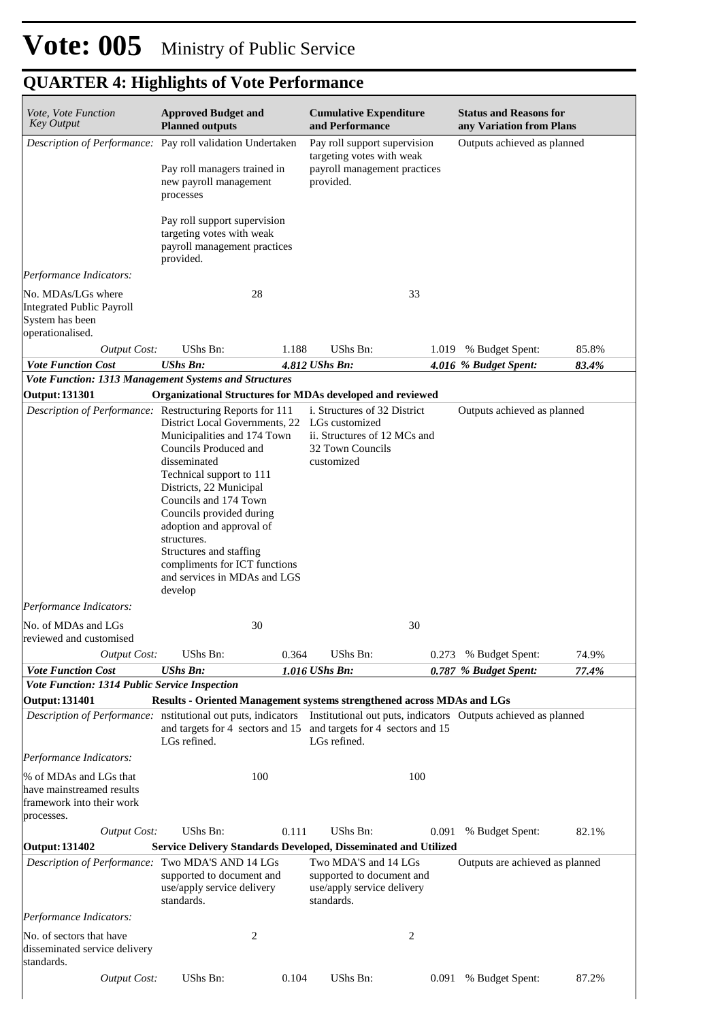| Vote, Vote Function<br><b>Key Output</b>                                                                                  | <b>Approved Budget and</b><br><b>Planned outputs</b>                                                                                                                                                                                                                                                                                                                                                                              |       | <b>Cumulative Expenditure</b><br>and Performance                                                                 |       | <b>Status and Reasons for</b><br>any Variation from Plans |       |
|---------------------------------------------------------------------------------------------------------------------------|-----------------------------------------------------------------------------------------------------------------------------------------------------------------------------------------------------------------------------------------------------------------------------------------------------------------------------------------------------------------------------------------------------------------------------------|-------|------------------------------------------------------------------------------------------------------------------|-------|-----------------------------------------------------------|-------|
| Description of Performance: Pay roll validation Undertaken                                                                | Pay roll managers trained in<br>new payroll management<br>processes                                                                                                                                                                                                                                                                                                                                                               |       | Pay roll support supervision<br>targeting votes with weak<br>payroll management practices<br>provided.           |       | Outputs achieved as planned                               |       |
|                                                                                                                           | Pay roll support supervision<br>targeting votes with weak<br>payroll management practices<br>provided.                                                                                                                                                                                                                                                                                                                            |       |                                                                                                                  |       |                                                           |       |
| Performance Indicators:                                                                                                   |                                                                                                                                                                                                                                                                                                                                                                                                                                   |       |                                                                                                                  |       |                                                           |       |
| No. MDAs/LGs where<br><b>Integrated Public Payroll</b><br>System has been<br>operationalised.                             | 28                                                                                                                                                                                                                                                                                                                                                                                                                                |       | 33                                                                                                               |       |                                                           |       |
| <b>Output Cost:</b>                                                                                                       | UShs Bn:                                                                                                                                                                                                                                                                                                                                                                                                                          | 1.188 | UShs Bn:                                                                                                         |       | 1.019 % Budget Spent:                                     | 85.8% |
| <b>Vote Function Cost</b>                                                                                                 | <b>UShs Bn:</b>                                                                                                                                                                                                                                                                                                                                                                                                                   |       | 4.812 UShs Bn:                                                                                                   |       | 4.016 % Budget Spent:                                     | 83.4% |
| Vote Function: 1313 Management Systems and Structures                                                                     |                                                                                                                                                                                                                                                                                                                                                                                                                                   |       |                                                                                                                  |       |                                                           |       |
| <b>Output: 131301</b><br>Description of Performance: Restructuring Reports for 111<br>Performance Indicators:             | Organizational Structures for MDAs developed and reviewed<br>District Local Governments, 22<br>Municipalities and 174 Town<br>Councils Produced and<br>disseminated<br>Technical support to 111<br>Districts, 22 Municipal<br>Councils and 174 Town<br>Councils provided during<br>adoption and approval of<br>structures.<br>Structures and staffing<br>compliments for ICT functions<br>and services in MDAs and LGS<br>develop |       | i. Structures of 32 District<br>LGs customized<br>ii. Structures of 12 MCs and<br>32 Town Councils<br>customized |       | Outputs achieved as planned                               |       |
| No. of MDAs and LGs                                                                                                       | 30                                                                                                                                                                                                                                                                                                                                                                                                                                |       | 30                                                                                                               |       |                                                           |       |
| reviewed and customised                                                                                                   |                                                                                                                                                                                                                                                                                                                                                                                                                                   |       |                                                                                                                  |       |                                                           |       |
| <b>Output Cost:</b>                                                                                                       | UShs Bn:                                                                                                                                                                                                                                                                                                                                                                                                                          | 0.364 | UShs Bn:                                                                                                         |       | 0.273 % Budget Spent:                                     | 74.9% |
| <b>Vote Function Cost</b><br>Vote Function: 1314 Public Service Inspection                                                | <b>UShs Bn:</b>                                                                                                                                                                                                                                                                                                                                                                                                                   |       | 1.016 UShs Bn:                                                                                                   |       | 0.787 % Budget Spent:                                     | 77.4% |
| <b>Output: 131401</b>                                                                                                     | <b>Results - Oriented Management systems strengthened across MDAs and LGs</b>                                                                                                                                                                                                                                                                                                                                                     |       |                                                                                                                  |       |                                                           |       |
| Description of Performance: nstitutional out puts, indicators                                                             | and targets for 4 sectors and 15 and targets for 4 sectors and 15<br>LGs refined.                                                                                                                                                                                                                                                                                                                                                 |       | Institutional out puts, indicators Outputs achieved as planned<br>LGs refined.                                   |       |                                                           |       |
| Performance Indicators:<br>% of MDAs and LGs that<br>have mainstreamed results<br>framework into their work<br>processes. | 100                                                                                                                                                                                                                                                                                                                                                                                                                               |       | 100                                                                                                              |       |                                                           |       |
| <b>Output Cost:</b>                                                                                                       | UShs Bn:                                                                                                                                                                                                                                                                                                                                                                                                                          | 0.111 | UShs Bn:                                                                                                         | 0.091 | % Budget Spent:                                           | 82.1% |
| <b>Output: 131402</b>                                                                                                     | Service Delivery Standards Developed, Disseminated and Utilized                                                                                                                                                                                                                                                                                                                                                                   |       |                                                                                                                  |       |                                                           |       |
| Description of Performance: Two MDA'S AND 14 LGs                                                                          | supported to document and<br>use/apply service delivery<br>standards.                                                                                                                                                                                                                                                                                                                                                             |       | Two MDA'S and 14 LGs<br>supported to document and<br>use/apply service delivery<br>standards.                    |       | Outputs are achieved as planned                           |       |
| Performance Indicators:                                                                                                   |                                                                                                                                                                                                                                                                                                                                                                                                                                   |       |                                                                                                                  |       |                                                           |       |
| No. of sectors that have<br>disseminated service delivery<br>standards.                                                   | $\overline{c}$                                                                                                                                                                                                                                                                                                                                                                                                                    |       | $\boldsymbol{2}$                                                                                                 |       |                                                           |       |
| <b>Output Cost:</b>                                                                                                       | UShs Bn:                                                                                                                                                                                                                                                                                                                                                                                                                          | 0.104 | UShs Bn:                                                                                                         |       | 0.091 % Budget Spent:                                     | 87.2% |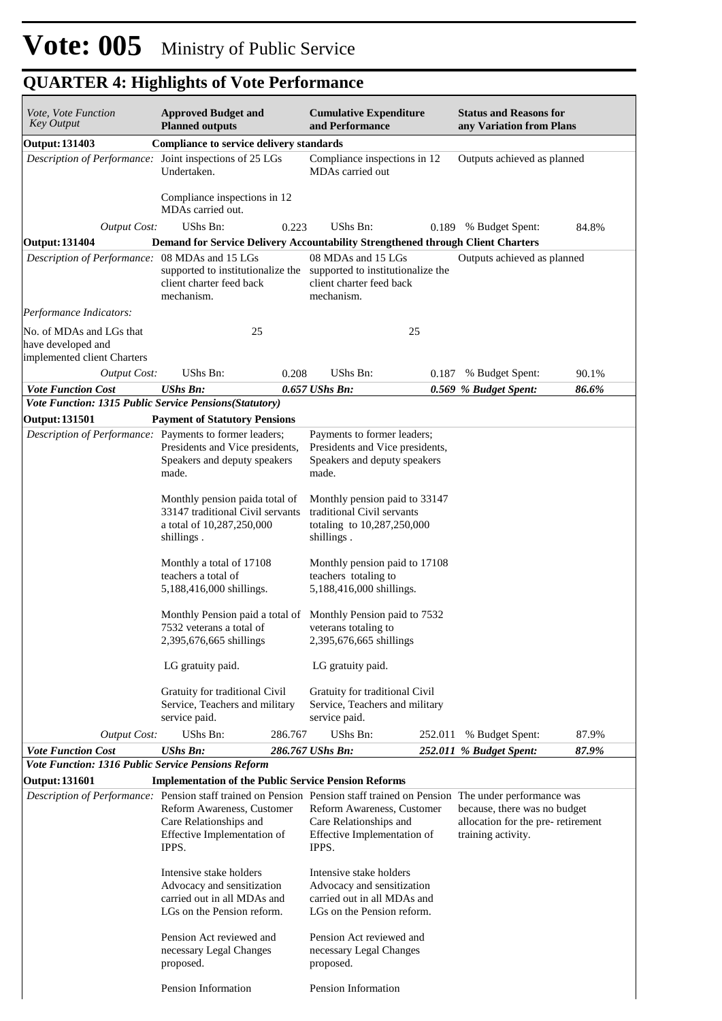| Vote, Vote Function<br><b>Key Output</b>                                      | <b>Approved Budget and</b><br><b>Planned outputs</b>                                                                                                                                                                    |         | <b>Cumulative Expenditure</b><br>and Performance                                                                   |         | <b>Status and Reasons for</b><br>any Variation from Plans                               |       |  |  |
|-------------------------------------------------------------------------------|-------------------------------------------------------------------------------------------------------------------------------------------------------------------------------------------------------------------------|---------|--------------------------------------------------------------------------------------------------------------------|---------|-----------------------------------------------------------------------------------------|-------|--|--|
| <b>Output: 131403</b>                                                         | <b>Compliance to service delivery standards</b>                                                                                                                                                                         |         |                                                                                                                    |         |                                                                                         |       |  |  |
| Description of Performance: Joint inspections of 25 LGs                       | Undertaken.                                                                                                                                                                                                             |         | Compliance inspections in 12<br>MDAs carried out                                                                   |         | Outputs achieved as planned                                                             |       |  |  |
|                                                                               | Compliance inspections in 12<br>MDAs carried out.                                                                                                                                                                       |         |                                                                                                                    |         |                                                                                         |       |  |  |
| <b>Output Cost:</b>                                                           | UShs Bn:                                                                                                                                                                                                                | 0.223   | UShs Bn:                                                                                                           | 0.189   | % Budget Spent:                                                                         | 84.8% |  |  |
| <b>Output: 131404</b>                                                         | Demand for Service Delivery Accountability Strengthened through Client Charters                                                                                                                                         |         |                                                                                                                    |         |                                                                                         |       |  |  |
| Description of Performance:                                                   | 08 MDAs and 15 LGs<br>supported to institutionalize the supported to institutionalize the<br>client charter feed back<br>mechanism.                                                                                     |         | 08 MDAs and 15 LGs<br>client charter feed back<br>mechanism.                                                       |         | Outputs achieved as planned                                                             |       |  |  |
| Performance Indicators:                                                       |                                                                                                                                                                                                                         |         |                                                                                                                    |         |                                                                                         |       |  |  |
| No. of MDAs and LGs that<br>have developed and<br>implemented client Charters | 25                                                                                                                                                                                                                      |         | 25                                                                                                                 |         |                                                                                         |       |  |  |
| <b>Output Cost:</b>                                                           | UShs Bn:                                                                                                                                                                                                                | 0.208   | UShs Bn:                                                                                                           | 0.187   | % Budget Spent:                                                                         | 90.1% |  |  |
| <b>Vote Function Cost</b>                                                     | UShs Bn:                                                                                                                                                                                                                |         | $0.657$ UShs Bn:                                                                                                   |         | 0.569 % Budget Spent:                                                                   | 86.6% |  |  |
| Vote Function: 1315 Public Service Pensions(Statutory)                        |                                                                                                                                                                                                                         |         |                                                                                                                    |         |                                                                                         |       |  |  |
| <b>Output: 131501</b>                                                         | <b>Payment of Statutory Pensions</b>                                                                                                                                                                                    |         |                                                                                                                    |         |                                                                                         |       |  |  |
| Description of Performance: Payments to former leaders;                       | Presidents and Vice presidents,<br>Speakers and deputy speakers<br>made.                                                                                                                                                |         | Payments to former leaders;<br>Presidents and Vice presidents,<br>Speakers and deputy speakers<br>made.            |         |                                                                                         |       |  |  |
|                                                                               | Monthly pension paida total of<br>33147 traditional Civil servants<br>a total of 10,287,250,000<br>shillings.                                                                                                           |         | Monthly pension paid to 33147<br>traditional Civil servants<br>totaling to 10,287,250,000<br>shillings.            |         |                                                                                         |       |  |  |
|                                                                               | Monthly a total of 17108<br>teachers a total of<br>5,188,416,000 shillings.                                                                                                                                             |         | Monthly pension paid to 17108<br>teachers totaling to<br>5,188,416,000 shillings.                                  |         |                                                                                         |       |  |  |
|                                                                               | Monthly Pension paid a total of Monthly Pension paid to 7532<br>7532 veterans a total of<br>2,395,676,665 shillings                                                                                                     |         | veterans totaling to<br>2,395,676,665 shillings                                                                    |         |                                                                                         |       |  |  |
|                                                                               | LG gratuity paid.                                                                                                                                                                                                       |         | LG gratuity paid.                                                                                                  |         |                                                                                         |       |  |  |
|                                                                               | Gratuity for traditional Civil<br>Service, Teachers and military<br>service paid.                                                                                                                                       |         | Gratuity for traditional Civil<br>Service, Teachers and military<br>service paid.                                  |         |                                                                                         |       |  |  |
| <b>Output Cost:</b>                                                           | UShs Bn:                                                                                                                                                                                                                | 286.767 | UShs Bn:                                                                                                           | 252.011 | % Budget Spent:                                                                         | 87.9% |  |  |
| <b>Vote Function Cost</b>                                                     | <b>UShs Bn:</b>                                                                                                                                                                                                         |         | 286.767 UShs Bn:                                                                                                   |         | 252.011 % Budget Spent:                                                                 | 87.9% |  |  |
| Vote Function: 1316 Public Service Pensions Reform                            |                                                                                                                                                                                                                         |         |                                                                                                                    |         |                                                                                         |       |  |  |
| <b>Output: 131601</b>                                                         | <b>Implementation of the Public Service Pension Reforms</b>                                                                                                                                                             |         |                                                                                                                    |         |                                                                                         |       |  |  |
|                                                                               | Description of Performance: Pension staff trained on Pension Pension staff trained on Pension The under performance was<br>Reform Awareness, Customer<br>Care Relationships and<br>Effective Implementation of<br>IPPS. |         | Reform Awareness, Customer<br>Care Relationships and<br>Effective Implementation of<br>IPPS.                       |         | because, there was no budget<br>allocation for the pre-retirement<br>training activity. |       |  |  |
|                                                                               | Intensive stake holders<br>Advocacy and sensitization<br>carried out in all MDAs and<br>LGs on the Pension reform.                                                                                                      |         | Intensive stake holders<br>Advocacy and sensitization<br>carried out in all MDAs and<br>LGs on the Pension reform. |         |                                                                                         |       |  |  |
|                                                                               | Pension Act reviewed and<br>necessary Legal Changes<br>proposed.                                                                                                                                                        |         | Pension Act reviewed and<br>necessary Legal Changes<br>proposed.                                                   |         |                                                                                         |       |  |  |
|                                                                               | Pension Information                                                                                                                                                                                                     |         | Pension Information                                                                                                |         |                                                                                         |       |  |  |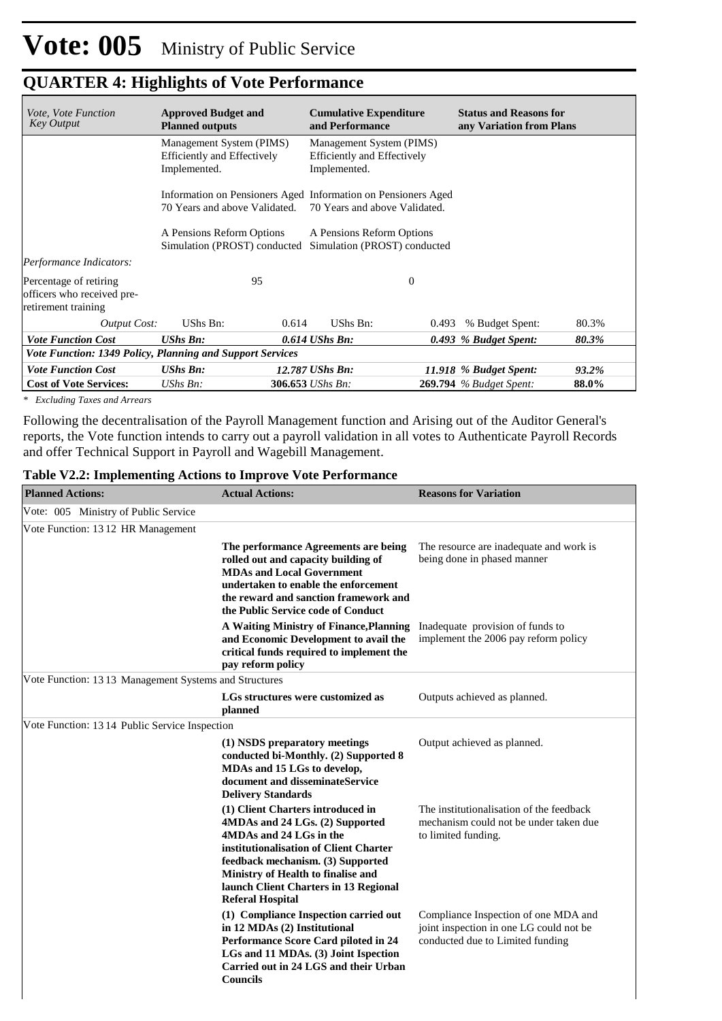| <i>Vote, Vote Function</i><br><b>Key Output</b>                             | <b>Approved Budget and</b><br><b>Planned outputs</b>                           | <b>Cumulative Expenditure</b><br><b>Status and Reasons for</b><br>and Performance<br>any Variation from Plans |                                         |  |
|-----------------------------------------------------------------------------|--------------------------------------------------------------------------------|---------------------------------------------------------------------------------------------------------------|-----------------------------------------|--|
|                                                                             | Management System (PIMS)<br><b>Efficiently and Effectively</b><br>Implemented. | Management System (PIMS)<br><b>Efficiently and Effectively</b><br>Implemented.                                |                                         |  |
|                                                                             | 70 Years and above Validated.                                                  | Information on Pensioners Aged Information on Pensioners Aged<br>70 Years and above Validated.                |                                         |  |
|                                                                             | A Pensions Reform Options<br>Simulation (PROST) conducted                      | A Pensions Reform Options<br>Simulation (PROST) conducted                                                     |                                         |  |
| Performance Indicators:                                                     |                                                                                |                                                                                                               |                                         |  |
| Percentage of retiring<br>officers who received pre-<br>retirement training | 95                                                                             | $\Omega$                                                                                                      |                                         |  |
| <b>Output Cost:</b>                                                         | UShs Bn:<br>0.614                                                              | UShs Bn:<br>0.493                                                                                             | % Budget Spent:<br>80.3%                |  |
| <b>Vote Function Cost</b>                                                   | <b>UShs Bn:</b>                                                                | $0.614$ UShs Bn:                                                                                              | 0.493 % Budget Spent:<br>80.3%          |  |
|                                                                             | Vote Function: 1349 Policy, Planning and Support Services                      |                                                                                                               |                                         |  |
| <b>Vote Function Cost</b>                                                   | <b>UShs Bn:</b>                                                                | 12.787 UShs Bn:                                                                                               | 11.918 % Budget Spent:<br>93.2%         |  |
| <b>Cost of Vote Services:</b>                                               | $UShs Bn$ :                                                                    | 306.653 UShs Bn:                                                                                              | 88.0%<br><b>269.794</b> % Budget Spent: |  |

*\* Excluding Taxes and Arrears*

Following the decentralisation of the Payroll Management function and Arising out of the Auditor General's reports, the Vote function intends to carry out a payroll validation in all votes to Authenticate Payroll Records and offer Technical Support in Payroll and Wagebill Management.

### **Table V2.2: Implementing Actions to Improve Vote Performance**

| <b>Planned Actions:</b>                               | <b>Actual Actions:</b>                                                                                                                                                                                                                                                                   | <b>Reasons for Variation</b>                                                                                        |
|-------------------------------------------------------|------------------------------------------------------------------------------------------------------------------------------------------------------------------------------------------------------------------------------------------------------------------------------------------|---------------------------------------------------------------------------------------------------------------------|
| Vote: 005 Ministry of Public Service                  |                                                                                                                                                                                                                                                                                          |                                                                                                                     |
| Vote Function: 1312 HR Management                     |                                                                                                                                                                                                                                                                                          |                                                                                                                     |
|                                                       | The performance Agreements are being<br>rolled out and capacity building of<br><b>MDAs and Local Government</b><br>undertaken to enable the enforcement<br>the reward and sanction framework and<br>the Public Service code of Conduct                                                   | The resource are inadequate and work is<br>being done in phased manner                                              |
|                                                       | A Waiting Ministry of Finance, Planning<br>and Economic Development to avail the<br>critical funds required to implement the<br>pay reform policy                                                                                                                                        | Inadequate provision of funds to<br>implement the 2006 pay reform policy                                            |
| Vote Function: 1313 Management Systems and Structures |                                                                                                                                                                                                                                                                                          |                                                                                                                     |
|                                                       | LGs structures were customized as<br>planned                                                                                                                                                                                                                                             | Outputs achieved as planned.                                                                                        |
| Vote Function: 13 14 Public Service Inspection        |                                                                                                                                                                                                                                                                                          |                                                                                                                     |
|                                                       | (1) NSDS preparatory meetings<br>conducted bi-Monthly. (2) Supported 8<br>MDAs and 15 LGs to develop,<br>document and disseminateService<br><b>Delivery Standards</b>                                                                                                                    | Output achieved as planned.                                                                                         |
|                                                       | (1) Client Charters introduced in<br>4MDAs and 24 LGs. (2) Supported<br>4MDAs and 24 LGs in the<br>institutionalisation of Client Charter<br>feedback mechanism. (3) Supported<br>Ministry of Health to finalise and<br>launch Client Charters in 13 Regional<br><b>Referal Hospital</b> | The institutionalisation of the feedback<br>mechanism could not be under taken due<br>to limited funding.           |
|                                                       | (1) Compliance Inspection carried out<br>in 12 MDAs (2) Institutional<br>Performance Score Card piloted in 24<br>LGs and 11 MDAs. (3) Joint Ispection<br>Carried out in 24 LGS and their Urban<br><b>Councils</b>                                                                        | Compliance Inspection of one MDA and<br>joint inspection in one LG could not be<br>conducted due to Limited funding |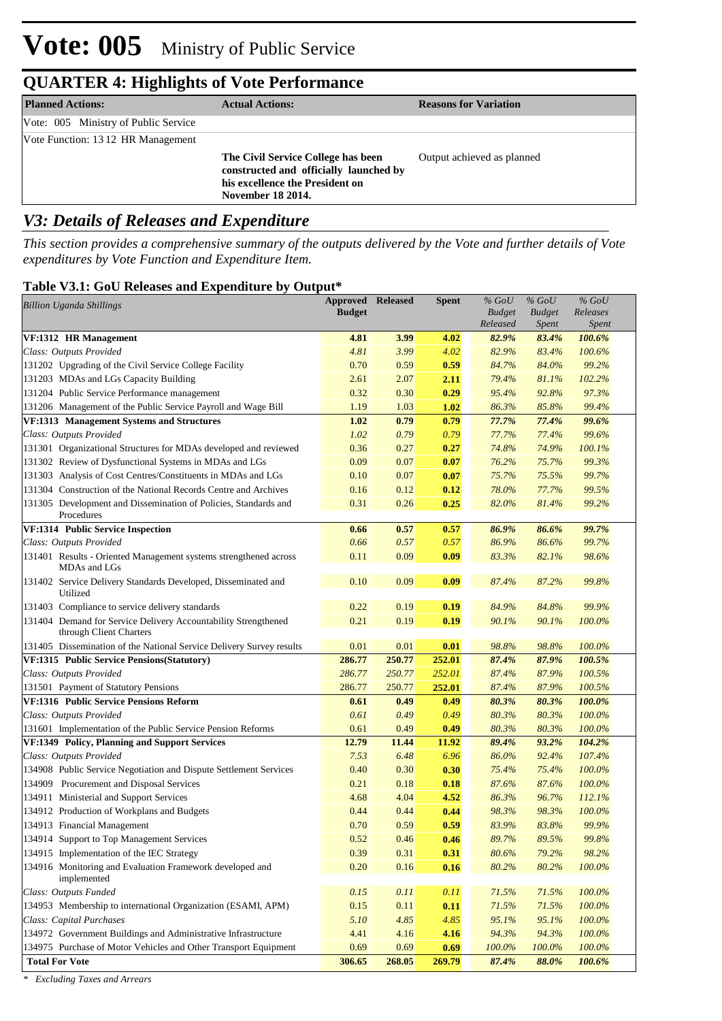| <b>Planned Actions:</b>              | <b>Actual Actions:</b>                                                                                                               | <b>Reasons for Variation</b> |
|--------------------------------------|--------------------------------------------------------------------------------------------------------------------------------------|------------------------------|
| Vote: 005 Ministry of Public Service |                                                                                                                                      |                              |
| Vote Function: 1312 HR Management    |                                                                                                                                      |                              |
|                                      | The Civil Service College has been<br>constructed and officially launched by<br>his excellence the President on<br>November 18 2014. | Output achieved as planned   |

### *V3: Details of Releases and Expenditure*

*This section provides a comprehensive summary of the outputs delivered by the Vote and further details of Vote expenditures by Vote Function and Expenditure Item.*

#### **Table V3.1: GoU Releases and Expenditure by Output\***

| <b>Billion Uganda Shillings</b>                                                           | <b>Approved Released</b> |              | <b>Spent</b> | $%$ GoU        | $%$ GoU        | $%$ GoU          |  |
|-------------------------------------------------------------------------------------------|--------------------------|--------------|--------------|----------------|----------------|------------------|--|
|                                                                                           | <b>Budget</b>            |              |              | <b>Budget</b>  | <b>Budget</b>  | Releases         |  |
|                                                                                           |                          |              |              | Released       | <i>Spent</i>   | <i>Spent</i>     |  |
| VF:1312 HR Management<br>Class: Outputs Provided                                          | 4.81<br>4.81             | 3.99<br>3.99 | 4.02<br>4.02 | 82.9%<br>82.9% | 83.4%<br>83.4% | 100.6%<br>100.6% |  |
| 131202 Upgrading of the Civil Service College Facility                                    | 0.70                     | 0.59         | 0.59         | 84.7%          | 84.0%          | 99.2%            |  |
| 131203 MDAs and LGs Capacity Building                                                     | 2.61                     | 2.07         | 2.11         | 79.4%          | 81.1%          | 102.2%           |  |
| 131204 Public Service Performance management                                              | 0.32                     | 0.30         | 0.29         | 95.4%          | 92.8%          | 97.3%            |  |
| 131206 Management of the Public Service Payroll and Wage Bill                             | 1.19                     | 1.03         | 1.02         | 86.3%          | 85.8%          | 99.4%            |  |
| VF:1313 Management Systems and Structures                                                 | 1.02                     | 0.79         | 0.79         | 77.7%          | 77.4%          | 99.6%            |  |
| Class: Outputs Provided                                                                   | 1.02                     | 0.79         | 0.79         | 77.7%          | 77.4%          | 99.6%            |  |
| 131301 Organizational Structures for MDAs developed and reviewed                          | 0.36                     | 0.27         | 0.27         | 74.8%          | 74.9%          | 100.1%           |  |
| 131302 Review of Dysfunctional Systems in MDAs and LGs                                    | 0.09                     | 0.07         | 0.07         | 76.2%          | 75.7%          | 99.3%            |  |
| 131303 Analysis of Cost Centres/Constituents in MDAs and LGs                              | 0.10                     | 0.07         | 0.07         | 75.7%          | 75.5%          | 99.7%            |  |
| 131304 Construction of the National Records Centre and Archives                           | 0.16                     | 0.12         | 0.12         | 78.0%          | 77.7%          | 99.5%            |  |
| 131305 Development and Dissemination of Policies, Standards and                           | 0.31                     | 0.26         | 0.25         | 82.0%          | 81.4%          | 99.2%            |  |
| Procedures                                                                                |                          |              |              |                |                |                  |  |
| VF:1314 Public Service Inspection                                                         | 0.66                     | 0.57         | 0.57         | 86.9%          | 86.6%          | 99.7%            |  |
| Class: Outputs Provided                                                                   | 0.66                     | 0.57         | 0.57         | 86.9%          | 86.6%          | 99.7%            |  |
| 131401 Results - Oriented Management systems strengthened across<br>MDAs and LGs          | 0.11                     | 0.09         | 0.09         | 83.3%          | 82.1%          | 98.6%            |  |
| 131402 Service Delivery Standards Developed, Disseminated and<br>Utilized                 | 0.10                     | 0.09         | 0.09         | 87.4%          | 87.2%          | 99.8%            |  |
| 131403 Compliance to service delivery standards                                           | 0.22                     | 0.19         | 0.19         | 84.9%          | 84.8%          | 99.9%            |  |
| 131404 Demand for Service Delivery Accountability Strengthened<br>through Client Charters | 0.21                     | 0.19         | 0.19         | 90.1%          | 90.1%          | 100.0%           |  |
| 131405 Dissemination of the National Service Delivery Survey results                      | 0.01                     | 0.01         | 0.01         | 98.8%          | 98.8%          | 100.0%           |  |
| VF:1315 Public Service Pensions (Statutory)                                               | 286.77                   | 250.77       | 252.01       | 87.4%          | 87.9%          | 100.5%           |  |
| Class: Outputs Provided                                                                   | 286.77                   | 250.77       | 252.01       | 87.4%          | 87.9%          | 100.5%           |  |
| 131501 Payment of Statutory Pensions                                                      | 286.77                   | 250.77       | 252.01       | 87.4%          | 87.9%          | 100.5%           |  |
| VF:1316 Public Service Pensions Reform                                                    | 0.61                     | 0.49         | 0.49         | 80.3%          | 80.3%          | 100.0%           |  |
| Class: Outputs Provided                                                                   | 0.61                     | 0.49         | 0.49         | 80.3%          | 80.3%          | 100.0%           |  |
| 131601 Implementation of the Public Service Pension Reforms                               | 0.61                     | 0.49         | 0.49         | 80.3%          | 80.3%          | 100.0%           |  |
| VF:1349 Policy, Planning and Support Services                                             | 12.79                    | 11.44        | 11.92        | 89.4%          | 93.2%          | 104.2%           |  |
| Class: Outputs Provided                                                                   | 7.53                     | 6.48         | 6.96         | 86.0%          | 92.4%          | 107.4%           |  |
| 134908 Public Service Negotiation and Dispute Settlement Services                         | 0.40                     | 0.30         | 0.30         | 75.4%          | 75.4%          | 100.0%           |  |
| 134909 Procurement and Disposal Services                                                  | 0.21                     | 0.18         | 0.18         | 87.6%          | 87.6%          | 100.0%           |  |
| 134911 Ministerial and Support Services                                                   | 4.68                     | 4.04         | 4.52         | 86.3%          | 96.7%          | 112.1%           |  |
| 134912 Production of Workplans and Budgets                                                | 0.44                     | 0.44         | 0.44         | 98.3%          | 98.3%          | 100.0%           |  |
| 134913 Financial Management                                                               | 0.70                     | 0.59         | 0.59         | 83.9%          | 83.8%          | 99.9%            |  |
| 134914 Support to Top Management Services                                                 | 0.52                     | 0.46         | 0.46         | 89.7%          | 89.5%          | 99.8%            |  |
| 134915 Implementation of the IEC Strategy                                                 | 0.39                     | 0.31         | 0.31         | 80.6%          | 79.2%          | 98.2%            |  |
| 134916 Monitoring and Evaluation Framework developed and<br>implemented                   | 0.20                     | 0.16         | 0.16         | 80.2%          | 80.2%          | 100.0%           |  |
| Class: Outputs Funded                                                                     | 0.15                     | 0.11         | 0.11         | 71.5%          | 71.5%          | 100.0%           |  |
| 134953 Membership to international Organization (ESAMI, APM)                              | 0.15                     | 0.11         | 0.11         | 71.5%          | 71.5%          | 100.0%           |  |
| Class: Capital Purchases                                                                  | 5.10                     | 4.85         | 4.85         | 95.1%          | 95.1%          | 100.0%           |  |
| 134972 Government Buildings and Administrative Infrastructure                             | 4.41                     | 4.16         | 4.16         | 94.3%          | 94.3%          | 100.0%           |  |
| 134975 Purchase of Motor Vehicles and Other Transport Equipment                           | 0.69                     | 0.69         | 0.69         | 100.0%         | $100.0\%$      | 100.0%           |  |
| <b>Total For Vote</b>                                                                     | 306.65                   | 268.05       | 269.79       | 87.4%          | 88.0%          | 100.6%           |  |

*\* Excluding Taxes and Arrears*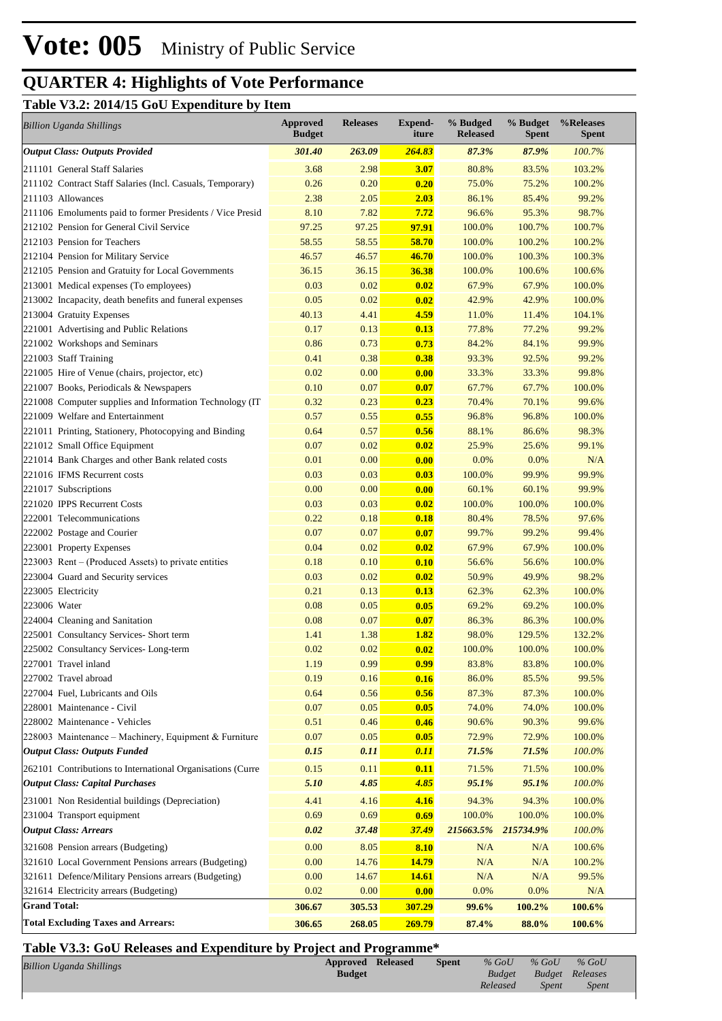### **Table V3.2: 2014/15 GoU Expenditure by Item**

| <b>Billion Uganda Shillings</b>                            | <b>Approved</b><br><b>Budget</b> | <b>Releases</b> | <b>Expend-</b><br>iture | % Budged<br><b>Released</b> | % Budget<br><b>Spent</b> | %Releases<br><b>Spent</b> |
|------------------------------------------------------------|----------------------------------|-----------------|-------------------------|-----------------------------|--------------------------|---------------------------|
| <b>Output Class: Outputs Provided</b>                      | 301.40                           | 263.09          | 264.83                  | 87.3%                       | 87.9%                    | 100.7%                    |
| 211101 General Staff Salaries                              | 3.68                             | 2.98            | 3.07                    | 80.8%                       | 83.5%                    | 103.2%                    |
| 211102 Contract Staff Salaries (Incl. Casuals, Temporary)  | 0.26                             | 0.20            | 0.20                    | 75.0%                       | 75.2%                    | 100.2%                    |
| 211103 Allowances                                          | 2.38                             | 2.05            | 2.03                    | 86.1%                       | 85.4%                    | 99.2%                     |
| 211106 Emoluments paid to former Presidents / Vice Presid  | 8.10                             | 7.82            | 7.72                    | 96.6%                       | 95.3%                    | 98.7%                     |
| 212102 Pension for General Civil Service                   | 97.25                            | 97.25           | 97.91                   | 100.0%                      | 100.7%                   | 100.7%                    |
| 212103 Pension for Teachers                                | 58.55                            | 58.55           | 58.70                   | 100.0%                      | 100.2%                   | 100.2%                    |
| 212104 Pension for Military Service                        | 46.57                            | 46.57           | 46.70                   | 100.0%                      | 100.3%                   | 100.3%                    |
| 212105 Pension and Gratuity for Local Governments          | 36.15                            | 36.15           | 36.38                   | 100.0%                      | 100.6%                   | 100.6%                    |
| 213001 Medical expenses (To employees)                     | 0.03                             | 0.02            | 0.02                    | 67.9%                       | 67.9%                    | 100.0%                    |
| 213002 Incapacity, death benefits and funeral expenses     | 0.05                             | 0.02            | 0.02                    | 42.9%                       | 42.9%                    | 100.0%                    |
| 213004 Gratuity Expenses                                   | 40.13                            | 4.41            | 4.59                    | 11.0%                       | 11.4%                    | 104.1%                    |
| 221001 Advertising and Public Relations                    | 0.17                             | 0.13            | 0.13                    | 77.8%                       | 77.2%                    | 99.2%                     |
| 221002 Workshops and Seminars                              | 0.86                             | 0.73            | 0.73                    | 84.2%                       | 84.1%                    | 99.9%                     |
| 221003 Staff Training                                      | 0.41                             | 0.38            | 0.38                    | 93.3%                       | 92.5%                    | 99.2%                     |
| 221005 Hire of Venue (chairs, projector, etc)              | 0.02                             | 0.00            | 0.00                    | 33.3%                       | 33.3%                    | 99.8%                     |
| 221007 Books, Periodicals & Newspapers                     | 0.10                             | 0.07            | 0.07                    | 67.7%                       | 67.7%                    | 100.0%                    |
| 221008 Computer supplies and Information Technology (IT    | 0.32                             | 0.23            | 0.23                    | 70.4%                       | 70.1%                    | 99.6%                     |
| 221009 Welfare and Entertainment                           | 0.57                             | 0.55            | 0.55                    | 96.8%                       | 96.8%                    | 100.0%                    |
| 221011 Printing, Stationery, Photocopying and Binding      | 0.64                             | 0.57            | 0.56                    | 88.1%                       | 86.6%                    | 98.3%                     |
| 221012 Small Office Equipment                              | 0.07                             | 0.02            | 0.02                    | 25.9%                       | 25.6%                    | 99.1%                     |
| 221014 Bank Charges and other Bank related costs           | 0.01                             | 0.00            | 0.00                    | 0.0%                        | 0.0%                     | N/A                       |
| 221016 IFMS Recurrent costs                                | 0.03                             | 0.03            | 0.03                    | 100.0%                      | 99.9%                    | 99.9%                     |
| 221017 Subscriptions                                       | 0.00                             | 0.00            | 0.00                    | 60.1%                       | 60.1%                    | 99.9%                     |
| 221020 IPPS Recurrent Costs                                | 0.03                             | 0.03            | 0.02                    | 100.0%                      | 100.0%                   | 100.0%                    |
| 222001 Telecommunications                                  | 0.22                             | 0.18            | 0.18                    | 80.4%                       | 78.5%                    | 97.6%                     |
| 222002 Postage and Courier                                 | 0.07                             | 0.07            | 0.07                    | 99.7%                       | 99.2%                    | 99.4%                     |
| 223001 Property Expenses                                   | 0.04                             | 0.02            | 0.02                    | 67.9%                       | 67.9%                    | 100.0%                    |
| $223003$ Rent – (Produced Assets) to private entities      | 0.18                             | 0.10            | 0.10                    | 56.6%                       | 56.6%                    | 100.0%                    |
| 223004 Guard and Security services                         | 0.03                             | 0.02            | 0.02                    | 50.9%                       | 49.9%                    | 98.2%                     |
| 223005 Electricity                                         | 0.21                             | 0.13            | 0.13                    | 62.3%                       | 62.3%                    | 100.0%                    |
| 223006 Water                                               | 0.08                             | 0.05            | 0.05                    | 69.2%                       | 69.2%                    | 100.0%                    |
| 224004 Cleaning and Sanitation                             | 0.08                             | 0.07            | 0.07                    | 86.3%                       | 86.3%                    | 100.0%                    |
| 225001 Consultancy Services- Short term                    | 1.41                             | 1.38            | 1.82                    | 98.0%                       | 129.5%                   | 132.2%                    |
| 225002 Consultancy Services-Long-term                      | 0.02                             | 0.02            | 0.02                    | 100.0%                      | 100.0%                   | 100.0%                    |
| 227001 Travel inland                                       | 1.19                             | 0.99            | 0.99                    | 83.8%                       | 83.8%                    | 100.0%                    |
| 227002 Travel abroad                                       | 0.19                             | 0.16            | 0.16                    | 86.0%                       | 85.5%                    | 99.5%                     |
| 227004 Fuel, Lubricants and Oils                           | 0.64                             | 0.56            | 0.56                    | 87.3%                       | 87.3%                    | 100.0%                    |
| 228001 Maintenance - Civil                                 | 0.07                             | 0.05            | 0.05                    | 74.0%                       | 74.0%                    | 100.0%                    |
| 228002 Maintenance - Vehicles                              | 0.51                             | 0.46            | 0.46                    | 90.6%                       | 90.3%                    | 99.6%                     |
| 228003 Maintenance – Machinery, Equipment & Furniture      | 0.07                             | 0.05            | 0.05                    | 72.9%                       | 72.9%                    | 100.0%                    |
| <b>Output Class: Outputs Funded</b>                        | 0.15                             | 0.11            | 0.11                    | 71.5%                       | 71.5%                    | 100.0%                    |
| 262101 Contributions to International Organisations (Curre | 0.15                             | 0.11            | 0.11                    | 71.5%                       | 71.5%                    | 100.0%                    |
| <b>Output Class: Capital Purchases</b>                     | 5.10                             | 4.85            | 4.85                    | 95.1%                       | 95.1%                    | 100.0%                    |
| 231001 Non Residential buildings (Depreciation)            | 4.41                             | 4.16            | 4.16                    | 94.3%                       | 94.3%                    | 100.0%                    |
| 231004 Transport equipment                                 | 0.69                             | 0.69            | 0.69                    | 100.0%                      | 100.0%                   | 100.0%                    |
| <b>Output Class: Arrears</b>                               | 0.02                             | 37.48           | 37.49                   | 215663.5%                   | 215734.9%                | 100.0%                    |
| 321608 Pension arrears (Budgeting)                         | 0.00                             | 8.05            | 8.10                    | N/A                         | N/A                      | 100.6%                    |
| 321610 Local Government Pensions arrears (Budgeting)       | 0.00                             | 14.76           | 14.79                   | N/A                         | N/A                      | 100.2%                    |
| 321611 Defence/Military Pensions arrears (Budgeting)       | 0.00                             | 14.67           | <b>14.61</b>            | N/A                         | N/A                      | 99.5%                     |
| 321614 Electricity arrears (Budgeting)                     | 0.02                             | 0.00            | 0.00                    | 0.0%                        | 0.0%                     | N/A                       |
| <b>Grand Total:</b>                                        | 306.67                           | 305.53          | 307.29                  | 99.6%                       | 100.2%                   | 100.6%                    |
| <b>Total Excluding Taxes and Arrears:</b>                  | 306.65                           | 268.05          | 269.79                  | 87.4%                       | 88.0%                    | 100.6%                    |

## **Table V3.3: GoU Releases and Expenditure by Project and Programme\***

| <b>Billion Uganda Shillings</b> | <b>Approved Released</b> | <b>Spent</b> | $%$ GoU  | $%$ GoU                | $%$ GoU      |
|---------------------------------|--------------------------|--------------|----------|------------------------|--------------|
|                                 | <b>Budget</b>            |              |          | Budget Budget Releases |              |
|                                 |                          |              | Released | Spent                  | <i>Spent</i> |
|                                 |                          |              |          |                        |              |